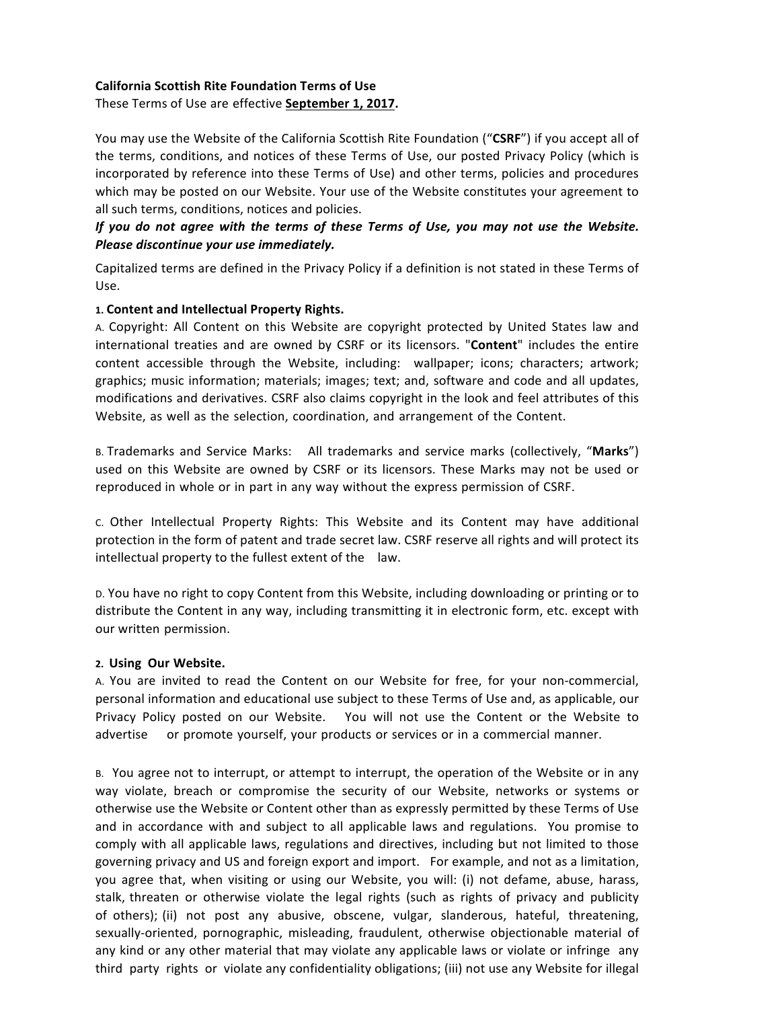# **California Scottish Rite Foundation Terms of Use**

## These Terms of Use are effective **September 1, 2017.**

You may use the Website of the California Scottish Rite Foundation ("CSRF") if you accept all of the terms, conditions, and notices of these Terms of Use, our posted Privacy Policy (which is incorporated by reference into these Terms of Use) and other terms, policies and procedures which may be posted on our Website. Your use of the Website constitutes your agreement to all such terms, conditions, notices and policies.

# *If* you do not agree with the terms of these Terms of Use, you may not use the Website. *Please discontinue your use immediately.*

Capitalized terms are defined in the Privacy Policy if a definition is not stated in these Terms of Use.

## 1. Content and Intellectual Property Rights.

A. Copyright: All Content on this Website are copyright protected by United States law and international treaties and are owned by CSRF or its licensors. "Content" includes the entire content accessible through the Website, including: wallpaper; icons; characters; artwork; graphics; music information; materials; images; text; and, software and code and all updates, modifications and derivatives. CSRF also claims copyright in the look and feel attributes of this Website, as well as the selection, coordination, and arrangement of the Content.

B. Trademarks and Service Marks: All trademarks and service marks (collectively, "Marks") used on this Website are owned by CSRF or its licensors. These Marks may not be used or reproduced in whole or in part in any way without the express permission of CSRF.

c. Other Intellectual Property Rights: This Website and its Content may have additional protection in the form of patent and trade secret law. CSRF reserve all rights and will protect its  $intellectual property to the fullest extent of the law.$ 

D. You have no right to copy Content from this Website, including downloading or printing or to distribute the Content in any way, including transmitting it in electronic form, etc. except with our written permission.

#### **2. Using Our Website.**

A. You are invited to read the Content on our Website for free, for your non-commercial, personal information and educational use subject to these Terms of Use and, as applicable, our Privacy Policy posted on our Website. You will not use the Content or the Website to advertise or promote yourself, your products or services or in a commercial manner.

B. You agree not to interrupt, or attempt to interrupt, the operation of the Website or in any way violate, breach or compromise the security of our Website, networks or systems or otherwise use the Website or Content other than as expressly permitted by these Terms of Use and in accordance with and subject to all applicable laws and regulations. You promise to comply with all applicable laws, regulations and directives, including but not limited to those governing privacy and US and foreign export and import. For example, and not as a limitation, you agree that, when visiting or using our Website, you will: (i) not defame, abuse, harass, stalk, threaten or otherwise violate the legal rights (such as rights of privacy and publicity of others); (ii) not post any abusive, obscene, vulgar, slanderous, hateful, threatening, sexually-oriented, pornographic, misleading, fraudulent, otherwise objectionable material of any kind or any other material that may violate any applicable laws or violate or infringe any third party rights or violate any confidentiality obligations; (iii) not use any Website for illegal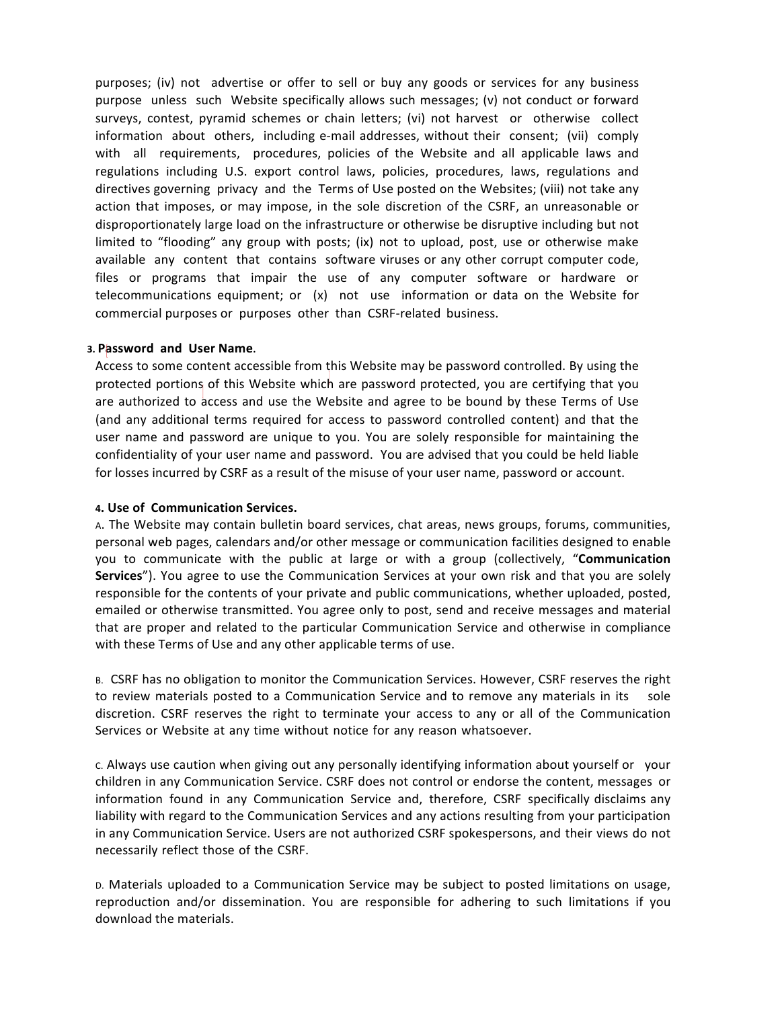purposes; (iv) not advertise or offer to sell or buy any goods or services for any business purpose unless such Website specifically allows such messages; (v) not conduct or forward surveys, contest, pyramid schemes or chain letters; (vi) not harvest or otherwise collect information about others, including e-mail addresses, without their consent; (vii) comply with all requirements, procedures, policies of the Website and all applicable laws and regulations including U.S. export control laws, policies, procedures, laws, regulations and directives governing privacy and the Terms of Use posted on the Websites; (viii) not take any action that imposes, or may impose, in the sole discretion of the CSRF, an unreasonable or disproportionately large load on the infrastructure or otherwise be disruptive including but not limited to "flooding" any group with posts; (ix) not to upload, post, use or otherwise make available any content that contains software viruses or any other corrupt computer code, files or programs that impair the use of any computer software or hardware or telecommunications equipment; or  $(x)$  not use information or data on the Website for commercial purposes or purposes other than CSRF-related business.

#### **3. Password and User Name.**

Access to some content accessible from this Website may be password controlled. By using the protected portions of this Website which are password protected, you are certifying that you are authorized to access and use the Website and agree to be bound by these Terms of Use (and any additional terms required for access to password controlled content) and that the user name and password are unique to you. You are solely responsible for maintaining the confidentiality of your user name and password. You are advised that you could be held liable for losses incurred by CSRF as a result of the misuse of your user name, password or account.

#### **4. Use of Communication Services.**

A. The Website may contain bulletin board services, chat areas, news groups, forums, communities, personal web pages, calendars and/or other message or communication facilities designed to enable you to communicate with the public at large or with a group (collectively, "Communication **Services**"). You agree to use the Communication Services at your own risk and that you are solely responsible for the contents of your private and public communications, whether uploaded, posted, emailed or otherwise transmitted. You agree only to post, send and receive messages and material that are proper and related to the particular Communication Service and otherwise in compliance with these Terms of Use and any other applicable terms of use.

B. CSRF has no obligation to monitor the Communication Services. However, CSRF reserves the right to review materials posted to a Communication Service and to remove any materials in its sole discretion. CSRF reserves the right to terminate your access to any or all of the Communication Services or Website at any time without notice for any reason whatsoever.

c. Always use caution when giving out any personally identifying information about yourself or your children in any Communication Service. CSRF does not control or endorse the content, messages or information found in any Communication Service and, therefore, CSRF specifically disclaims any liability with regard to the Communication Services and any actions resulting from your participation in any Communication Service. Users are not authorized CSRF spokespersons, and their views do not necessarily reflect those of the CSRF.

D. Materials uploaded to a Communication Service may be subject to posted limitations on usage, reproduction and/or dissemination. You are responsible for adhering to such limitations if you download the materials.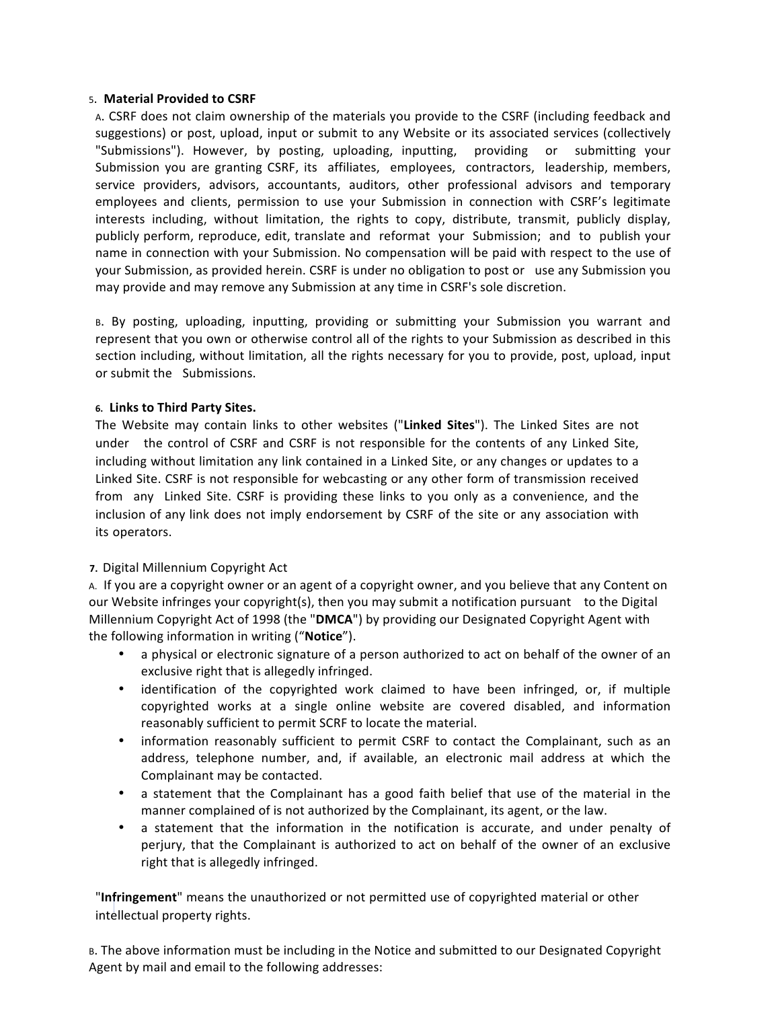#### 5. **Material Provided to CSRF**

A. CSRF does not claim ownership of the materials you provide to the CSRF (including feedback and suggestions) or post, upload, input or submit to any Website or its associated services (collectively "Submissions"). However, by posting, uploading, inputting, providing or submitting your Submission you are granting CSRF, its affiliates, employees, contractors, leadership, members, service providers, advisors, accountants, auditors, other professional advisors and temporary employees and clients, permission to use your Submission in connection with CSRF's legitimate interests including, without limitation, the rights to copy, distribute, transmit, publicly display, publicly perform, reproduce, edit, translate and reformat your Submission; and to publish your name in connection with your Submission. No compensation will be paid with respect to the use of your Submission, as provided herein. CSRF is under no obligation to post or use any Submission you may provide and may remove any Submission at any time in CSRF's sole discretion.

B. By posting, uploading, inputting, providing or submitting your Submission you warrant and represent that you own or otherwise control all of the rights to your Submission as described in this section including, without limitation, all the rights necessary for you to provide, post, upload, input or submit the Submissions.

## **6. Links to Third Party Sites.**

The Website may contain links to other websites ("Linked Sites"). The Linked Sites are not under the control of CSRF and CSRF is not responsible for the contents of any Linked Site, including without limitation any link contained in a Linked Site, or any changes or updates to a Linked Site. CSRF is not responsible for webcasting or any other form of transmission received from any Linked Site. CSRF is providing these links to you only as a convenience, and the inclusion of any link does not imply endorsement by CSRF of the site or any association with its operators. 

# **7.** Digital Millennium Copyright Act

A. If you are a copyright owner or an agent of a copyright owner, and you believe that any Content on our Website infringes your copyright(s), then you may submit a notification pursuant to the Digital Millennium Copyright Act of 1998 (the "DMCA") by providing our Designated Copyright Agent with the following information in writing ("Notice").

- a physical or electronic signature of a person authorized to act on behalf of the owner of an exclusive right that is allegedly infringed.
- identification of the copyrighted work claimed to have been infringed, or, if multiple copyrighted works at a single online website are covered disabled, and information reasonably sufficient to permit SCRF to locate the material.
- information reasonably sufficient to permit CSRF to contact the Complainant, such as an address, telephone number, and, if available, an electronic mail address at which the Complainant may be contacted.
- a statement that the Complainant has a good faith belief that use of the material in the manner complained of is not authorized by the Complainant, its agent, or the law.
- a statement that the information in the notification is accurate, and under penalty of perjury, that the Complainant is authorized to act on behalf of the owner of an exclusive right that is allegedly infringed.

"Infringement" means the unauthorized or not permitted use of copyrighted material or other intellectual property rights.

B. The above information must be including in the Notice and submitted to our Designated Copyright Agent by mail and email to the following addresses: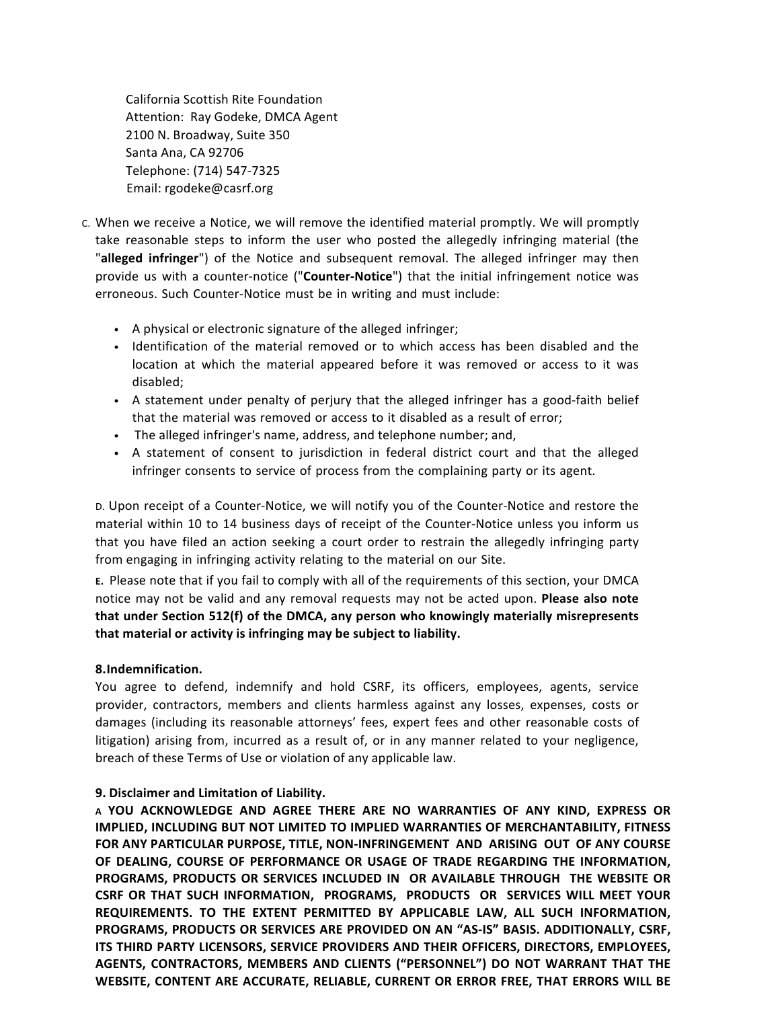California Scottish Rite Foundation Attention: Ray Godeke, DMCA Agent 2100 N. Broadway, Suite 350 Santa Ana, CA 92706 Telephone: (714) 547-7325 Email: rgodeke@casrf.org

- c. When we receive a Notice, we will remove the identified material promptly. We will promptly take reasonable steps to inform the user who posted the allegedly infringing material (the "alleged infringer") of the Notice and subsequent removal. The alleged infringer may then provide us with a counter-notice ("**Counter-Notice**") that the initial infringement notice was erroneous. Such Counter-Notice must be in writing and must include:
	- A physical or electronic signature of the alleged infringer;
	- Identification of the material removed or to which access has been disabled and the location at which the material appeared before it was removed or access to it was disabled;
	- A statement under penalty of perjury that the alleged infringer has a good-faith belief that the material was removed or access to it disabled as a result of error;
	- The alleged infringer's name, address, and telephone number; and,
	- A statement of consent to jurisdiction in federal district court and that the alleged infringer consents to service of process from the complaining party or its agent.

D. Upon receipt of a Counter-Notice, we will notify you of the Counter-Notice and restore the material within 10 to 14 business days of receipt of the Counter-Notice unless you inform us that you have filed an action seeking a court order to restrain the allegedly infringing party from engaging in infringing activity relating to the material on our Site.

**E.** Please note that if you fail to comply with all of the requirements of this section, your DMCA notice may not be valid and any removal requests may not be acted upon. **Please also note** that under Section 512(f) of the DMCA, any person who knowingly materially misrepresents that material or activity is infringing may be subject to liability.

#### **8.Indemnification.**

You agree to defend, indemnify and hold CSRF, its officers, employees, agents, service provider, contractors, members and clients harmless against any losses, expenses, costs or damages (including its reasonable attorneys' fees, expert fees and other reasonable costs of litigation) arising from, incurred as a result of, or in any manner related to your negligence, breach of these Terms of Use or violation of any applicable law.

#### **9. Disclaimer and Limitation of Liability.**

**A YOU ACKNOWLEDGE AND AGREE THERE ARE NO WARRANTIES OF ANY KIND, EXPRESS OR IMPLIED, INCLUDING BUT NOT LIMITED TO IMPLIED WARRANTIES OF MERCHANTABILITY, FITNESS** FOR ANY PARTICULAR PURPOSE, TITLE, NON-INFRINGEMENT AND ARISING OUT OF ANY COURSE OF DEALING, COURSE OF PERFORMANCE OR USAGE OF TRADE REGARDING THE INFORMATION, **PROGRAMS, PRODUCTS OR SERVICES INCLUDED IN OR AVAILABLE THROUGH THE WEBSITE OR** CSRF OR THAT SUCH INFORMATION, PROGRAMS, PRODUCTS OR SERVICES WILL MEET YOUR REQUIREMENTS. TO THE EXTENT PERMITTED BY APPLICABLE LAW, ALL SUCH INFORMATION, PROGRAMS, PRODUCTS OR SERVICES ARE PROVIDED ON AN "AS-IS" BASIS. ADDITIONALLY, CSRF, **ITS THIRD PARTY LICENSORS, SERVICE PROVIDERS AND THEIR OFFICERS, DIRECTORS, EMPLOYEES,** AGENTS, CONTRACTORS, MEMBERS AND CLIENTS ("PERSONNEL") DO NOT WARRANT THAT THE WEBSITE, CONTENT ARE ACCURATE, RELIABLE, CURRENT OR ERROR FREE, THAT ERRORS WILL BE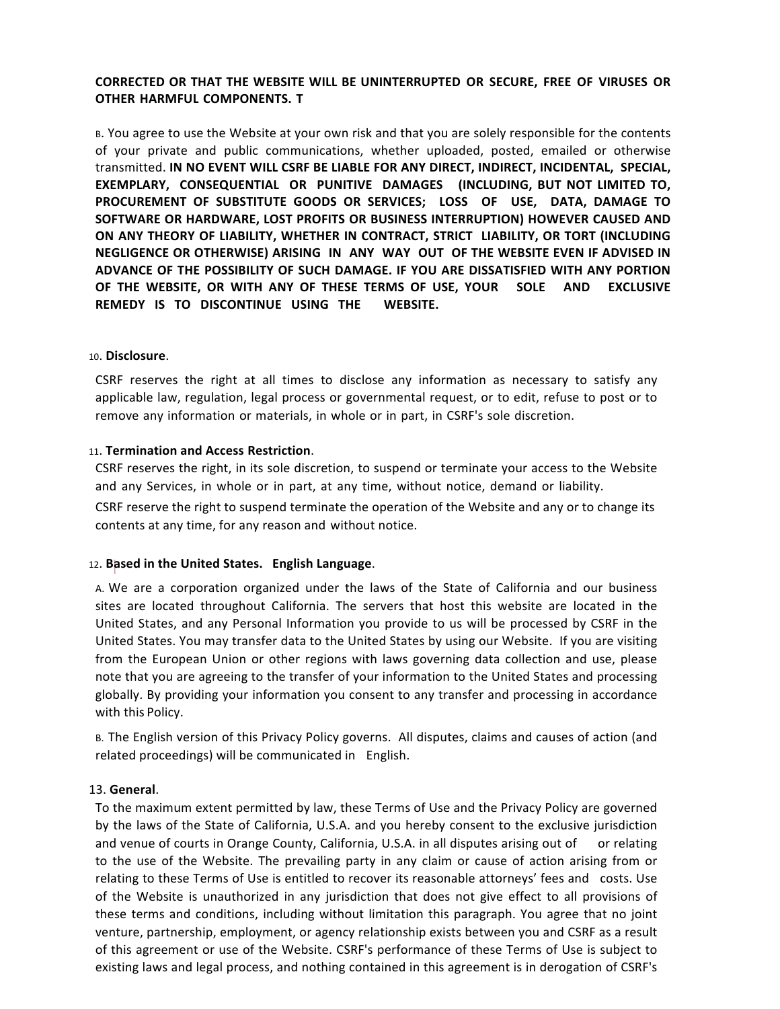# **CORRECTED OR THAT THE WEBSITE WILL BE UNINTERRUPTED OR SECURE, FREE OF VIRUSES OR OTHER HARMFUL COMPONENTS. T**

B. You agree to use the Website at your own risk and that you are solely responsible for the contents of your private and public communications, whether uploaded, posted, emailed or otherwise transmitted. **IN NO EVENT WILL CSRF BE LIABLE FOR ANY DIRECT, INDIRECT, INCIDENTAL, SPECIAL, EXEMPLARY, CONSEQUENTIAL OR PUNITIVE DAMAGES (INCLUDING, BUT NOT LIMITED TO,** PROCUREMENT OF SUBSTITUTE GOODS OR SERVICES; LOSS OF USE, DATA, DAMAGE TO SOFTWARE OR HARDWARE, LOST PROFITS OR BUSINESS INTERRUPTION) HOWEVER CAUSED AND ON ANY THEORY OF LIABILITY, WHETHER IN CONTRACT, STRICT LIABILITY, OR TORT (INCLUDING **NEGLIGENCE OR OTHERWISE) ARISING IN ANY WAY OUT OF THE WEBSITE EVEN IF ADVISED IN** ADVANCE OF THE POSSIBILITY OF SUCH DAMAGE. IF YOU ARE DISSATISFIED WITH ANY PORTION OF THE WEBSITE, OR WITH ANY OF THESE TERMS OF USE, YOUR SOLE AND EXCLUSIVE **REMEDY IS TO DISCONTINUE USING THE WEBSITE.** 

#### 10. **Disclosure**.

CSRF reserves the right at all times to disclose any information as necessary to satisfy any applicable law, regulation, legal process or governmental request, or to edit, refuse to post or to remove any information or materials, in whole or in part, in CSRF's sole discretion.

#### 11. **Termination and Access Restriction**.

CSRF reserves the right, in its sole discretion, to suspend or terminate your access to the Website and any Services, in whole or in part, at any time, without notice, demand or liability.

CSRF reserve the right to suspend terminate the operation of the Website and any or to change its contents at any time, for any reason and without notice.

#### 12. **Based in the United States.** English Language.

A. We are a corporation organized under the laws of the State of California and our business sites are located throughout California. The servers that host this website are located in the United States, and any Personal Information you provide to us will be processed by CSRF in the United States. You may transfer data to the United States by using our Website. If you are visiting from the European Union or other regions with laws governing data collection and use, please note that you are agreeing to the transfer of your information to the United States and processing globally. By providing your information you consent to any transfer and processing in accordance with this Policy.

B. The English version of this Privacy Policy governs. All disputes, claims and causes of action (and related proceedings) will be communicated in English.

#### 13. **General**.

To the maximum extent permitted by law, these Terms of Use and the Privacy Policy are governed by the laws of the State of California, U.S.A. and you hereby consent to the exclusive jurisdiction and venue of courts in Orange County, California, U.S.A. in all disputes arising out of or relating to the use of the Website. The prevailing party in any claim or cause of action arising from or relating to these Terms of Use is entitled to recover its reasonable attorneys' fees and costs. Use of the Website is unauthorized in any jurisdiction that does not give effect to all provisions of these terms and conditions, including without limitation this paragraph. You agree that no joint venture, partnership, employment, or agency relationship exists between you and CSRF as a result of this agreement or use of the Website. CSRF's performance of these Terms of Use is subject to existing laws and legal process, and nothing contained in this agreement is in derogation of CSRF's